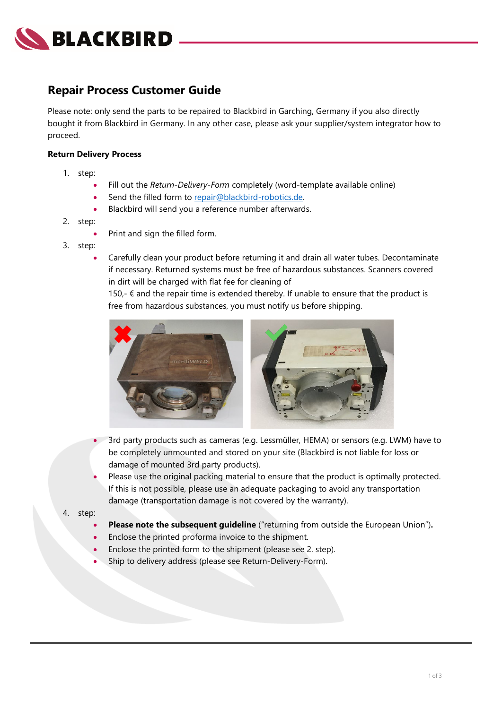

## **Repair Process Customer Guide**

Please note: only send the parts to be repaired to Blackbird in Garching, Germany if you also directly bought it from Blackbird in Germany. In any other case, please ask your supplier/system integrator how to proceed.

#### **Return Delivery Process**

- 1. step:
	- Fill out the *Return-Delivery-Form* completely (word-template available online)
	- Send the filled form to [repair@blackbird-robotics.de.](mailto:repair@blackbird-robotics.de)
	- Blackbird will send you a reference number afterwards.
- 2. step:
	- Print and sign the filled form.
- 3. step:
	- Carefully clean your product before returning it and drain all water tubes. Decontaminate if necessary. Returned systems must be free of hazardous substances. Scanners covered in dirt will be charged with flat fee for cleaning of

150,-  $∈$  and the repair time is extended thereby. If unable to ensure that the product is free from hazardous substances, you must notify us before shipping.



- 3rd party products such as cameras (e.g. Lessmüller, HEMA) or sensors (e.g. LWM) have to be completely unmounted and stored on your site (Blackbird is not liable for loss or damage of mounted 3rd party products).
- Please use the original packing material to ensure that the product is optimally protected. If this is not possible, please use an adequate packaging to avoid any transportation damage (transportation damage is not covered by the warranty).
- 4. step:
	- **Please note the subsequent guideline** ("returning from outside the European Union")**.**
	- Enclose the printed proforma invoice to the shipment.
	- Enclose the printed form to the shipment (please see 2. step).
	- Ship to delivery address (please see Return-Delivery-Form).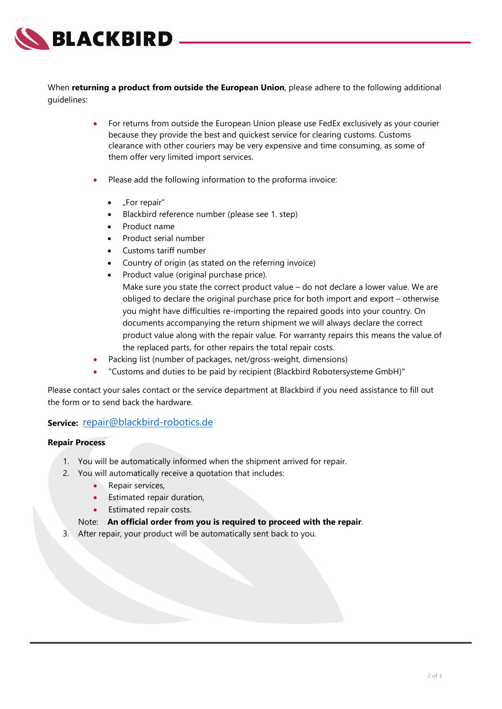

When **returning a product from outside the European Union**, please adhere to the following additional guidelines:

- For returns from outside the European Union please use FedEx exclusively as your courier because they provide the best and quickest service for clearing customs. Customs clearance with other couriers may be very expensive and time consuming, as some of them offer very limited import services.
- Please add the following information to the proforma invoice:
	- "For repair"
	- Blackbird reference number (please see 1. step)
	- Product name
	- Product serial number
	- Customs tariff number
	- Country of origin (as stated on the referring invoice)
	- Product value (original purchase price). Make sure you state the correct product value – do not declare a lower value. We are obliged to declare the original purchase price for both import and export – otherwise you might have difficulties re-importing the repaired goods into your country. On documents accompanying the return shipment we will always declare the correct product value along with the repair value. For warranty repairs this means the value of the replaced parts, for other repairs the total repair costs.
- Packing list (number of packages, net/gross-weight, dimensions)
- "Customs and duties to be paid by recipient (Blackbird Robotersysteme GmbH)"

Please contact your sales contact or the service department at Blackbird if you need assistance to fill out the form or to send back the hardware.

#### **Service:** [repair@blackbird-robotics.de](mailto:repair@blackbird-robotics.de)

#### **Repair Process**

- 1. You will be automatically informed when the shipment arrived for repair.
- 2. You will automatically receive a quotation that includes:
	- Repair services,
	- Estimated repair duration,
	- Estimated repair costs.

#### Note: **An official order from you is required to proceed with the repair**.

3. After repair, your product will be automatically sent back to you.